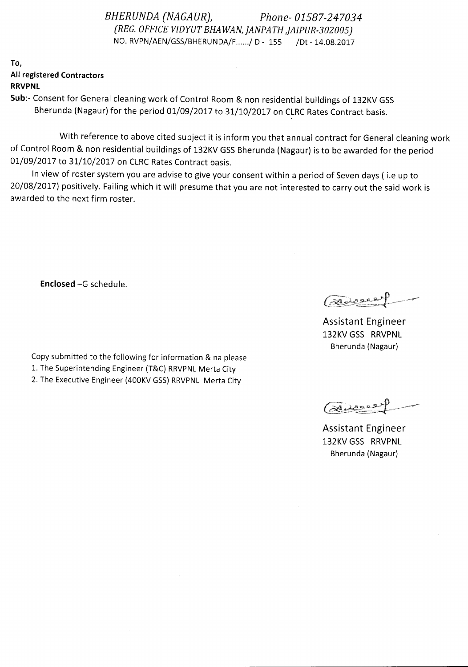*BHERUNDA (NAGAURj, Phone- 01587-247034 (REG. OFFICE VIDYUT BHAWAN, jANPATH ,jAIPUR-30200Sj* NO. RVPN/AEN/GSS/BHERUNDA/F ..... / D - 155 /Dt - 14.08.2017

To, All registered Contractors RRVPNl

Sub:- Consent for General cleaning work of Control Room & non residential buildings of 132KV GSS Bherunda (Nagaur) for the period 01/09/2017 to 31/10/2017 on CLRC Rates Contract basis.

With reference to above cited subject it is inform you that annual contract for General cleaning work of Control Room & non residential buildings of 132KV GSS Bherunda (Nagaur) is to be awarded for the period 01/09/2017 to 31/10/2017 on CLRC Rates Contract basis.

In view of roster system you are advise to give your consent within a period of Seven days ( i.e up to 20/08/2017) positively. Failing which it will presume that you are not interested to carry out the said work is awarded to the next firm roster.

Enclosed -G schedule.

Copy submitted to the following for information & na please

- 1. The Superintending Engineer (T&C) RRVPNL Merta City
- 2. The Executive Engineer (400KV GSS) RRVPNL Merta City

العقوبها

Assistant Engineer 132KV GSS RRVPNL Bherunda (Nagaur)

(Farrer)

Assistant Engineer 132KV GSS RRVPNL Bherunda (Nagaur)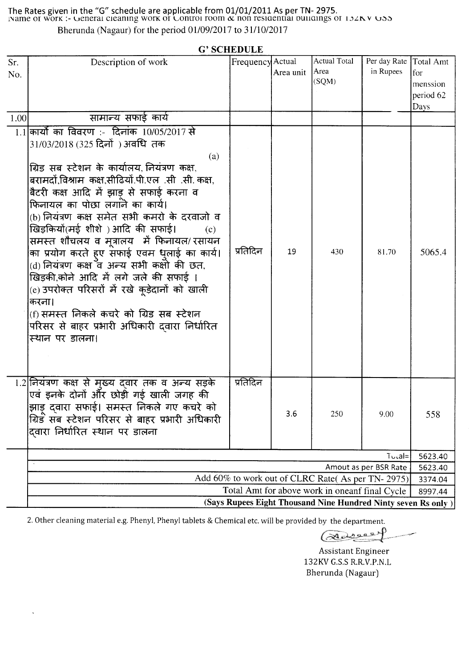The Rates given in the "G" schedule are applicable from 01/01/2011 As per TN- 2975.<br>Name of work :- General cleaning work of Control room  $\alpha$  non residential buildings of 132KY GSS Bherunda (Nagaur) for the period 01/09/2017 to 31/10/2017

| <b>G' SCHEDULE</b> |                                                                                                                                                                                                                                                                                                                                                                                                                                                                                                                                                                                                                                                                                                                                             |                  |           |                                      |                           |                                                   |  |  |  |  |  |
|--------------------|---------------------------------------------------------------------------------------------------------------------------------------------------------------------------------------------------------------------------------------------------------------------------------------------------------------------------------------------------------------------------------------------------------------------------------------------------------------------------------------------------------------------------------------------------------------------------------------------------------------------------------------------------------------------------------------------------------------------------------------------|------------------|-----------|--------------------------------------|---------------------------|---------------------------------------------------|--|--|--|--|--|
| Sr.<br>No.         | Description of work                                                                                                                                                                                                                                                                                                                                                                                                                                                                                                                                                                                                                                                                                                                         | Frequency Actual | Area unit | <b>Actual Total</b><br>Area<br>(SQM) | Per day Rate<br>in Rupees | Total Amt<br>for<br>menssion<br>period 62<br>Days |  |  |  |  |  |
| 1.00               | सामान्य सफाई कार्य                                                                                                                                                                                                                                                                                                                                                                                                                                                                                                                                                                                                                                                                                                                          |                  |           |                                      |                           |                                                   |  |  |  |  |  |
|                    | $1.1$ कार्यों का विवरण :- दिनांक 10/05/2017 से<br>31/03/2018 (325 दिनों) अवधि तक<br>(a)<br>ग्रिड सब स्टेशन के कार्यालय, नियंत्रण कक्ष,<br>बरामदों,विश्राम कक्ष,सीढियों.पी.एल .सी .सी. कक्ष,<br>बैटरी कक्ष आदि में झाड़ से सफाई करना व<br>फिनायल का पोछा लगाने का कार्य।<br>(b) नियंत्रण कक्ष समेत सभी कमरो के दरवाजो व<br>खिड़कियों(मई शीशे ) आदि की सफाई।<br>(c)<br>समस्त शौचलय व मूत्रालय  में फिनायल/ रसायन<br>का प्रयोग करते हुए सेफाई एवम धुलाई का कार्य।<br>(d) नियंत्रण कक्ष <sup>3</sup> व अन्य सभी कक्षो की छत,<br>खिड़की,कोने आदि में लगे जले की सफाई ।<br>(e) उपरोक्त परिसरों में रखे कूड़ेदानों को खाली<br>करना।<br>(f) समस्त निकले कचरे को ग्रिड सब स्टेशन<br>परिसर से बाहर प्रभारी अधिकारी दवारा निर्धारित<br>स्थान पर डालना। | प्रतिदिन         | 19        | 430                                  | 81.70                     | 5065.4                                            |  |  |  |  |  |
|                    | 1.2 नियंत्रण कक्ष से मुख्य दवार तक व अन्य सड़के<br>एवं इनके दोनों और छोड़ी गई खाली जगह की<br>झाड़ दवारा सफाई। समस्त निकले गए कचरे को<br>ग्रिड सब स्टेशन परिसर से बाहर प्रभारी अधिकारी<br>दिवारा निर्धारित स्थान पर डालना                                                                                                                                                                                                                                                                                                                                                                                                                                                                                                                    | प्रतिदिन         | 3.6       | 250                                  | 9.00                      | 558                                               |  |  |  |  |  |
|                    | $Tu$ cal=                                                                                                                                                                                                                                                                                                                                                                                                                                                                                                                                                                                                                                                                                                                                   |                  |           |                                      |                           |                                                   |  |  |  |  |  |
|                    | Amout as per BSR Rate                                                                                                                                                                                                                                                                                                                                                                                                                                                                                                                                                                                                                                                                                                                       |                  |           |                                      |                           |                                                   |  |  |  |  |  |
|                    | Add 60% to work out of CLRC Rate(As per TN-2975)                                                                                                                                                                                                                                                                                                                                                                                                                                                                                                                                                                                                                                                                                            |                  |           |                                      |                           |                                                   |  |  |  |  |  |
|                    | Total Amt for above work in oneanf final Cycle<br>(Says Rupees Eight Thousand Nine Hundred Ninty seven Rs only)                                                                                                                                                                                                                                                                                                                                                                                                                                                                                                                                                                                                                             |                  |           |                                      |                           |                                                   |  |  |  |  |  |

2. Other cleaning material e.g. Phenyl, Phenyl tablets & Chemical etc. will be provided by the department.

Reagan P

**Assistant Engineer** 132KV G.S.S R.R.V.P.N.L Bherunda (Nagaur)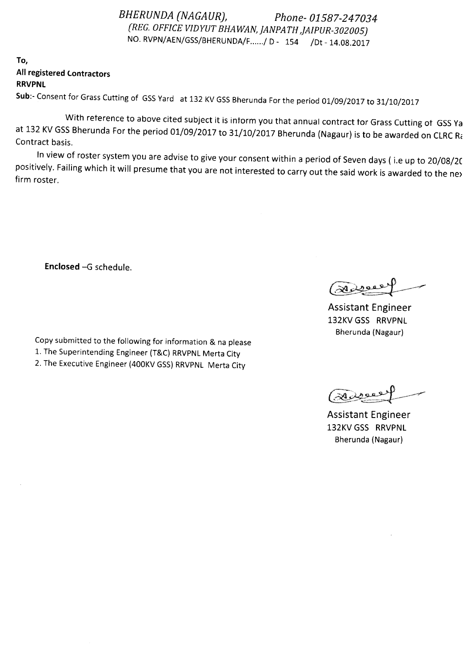*BHERUNDA (NAGAUR), Phone- 01587-247034 (REG. OFFICEVIDYUT BHA WAN jANPATH JAIPUR-30200S)* NO. RVPN/AEN/GSS/BHERUNDA/F....../ D- 154 /Dt - 14.08.2017

To, All registered Contractors RRVPNL

Sub:- Consent for Grass Cutting of GSS Yard at 132 KV GSS Bherunda For the period 01/09/2017 to 31/10/2017

With reterence to above cited subject it is inform you that annual contract for Grass Cutting of GSS Ya at 132 KV GSS Bherunda For the period 01/09/2017 to 31/10/2017 Bherunda (Nagaur) is to be awarded on CLRC Ra Contract basis.

In view of roster system you are advise to give your consent within a period of Sevendays ( i.e up to 20/08/2C positively. Failing which it will presume that you are not interested to carry out the said work is awarded to the ne> firm roster.

Enclosed -G schedule.

Copy submitted to the following for information & na please

1. The Superintending Engineer (T&C) RRVPNL Merta City

2. The Executive Engineer (400KV GSS) RRVPNL Merta City

Assistant Engineer 132KVGSS RRVPNL Bherunda (Nagaur)

Assistant Engineer 132KVGSS RRVPNL Bherunda (Nagaur)